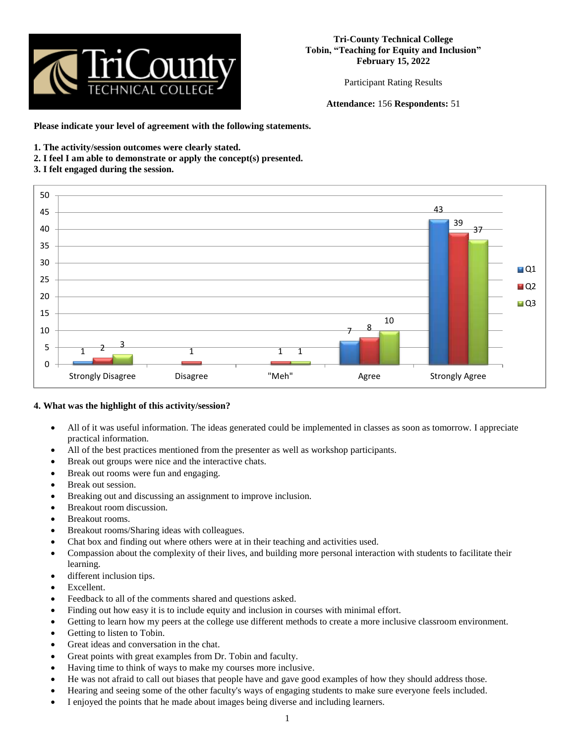

Participant Rating Results

**Attendance:** 156 **Respondents:** 51

**Please indicate your level of agreement with the following statements.**

- **1. The activity/session outcomes were clearly stated.**
- **2. I feel I am able to demonstrate or apply the concept(s) presented.**
- **3. I felt engaged during the session.**



## **4. What was the highlight of this activity/session?**

- All of it was useful information. The ideas generated could be implemented in classes as soon as tomorrow. I appreciate practical information.
- All of the best practices mentioned from the presenter as well as workshop participants.
- Break out groups were nice and the interactive chats.
- Break out rooms were fun and engaging.
- Break out session.
- Breaking out and discussing an assignment to improve inclusion.
- Breakout room discussion.
- Breakout rooms.
- Breakout rooms/Sharing ideas with colleagues.
- Chat box and finding out where others were at in their teaching and activities used.
- Compassion about the complexity of their lives, and building more personal interaction with students to facilitate their learning.
- different inclusion tips.
- Excellent.
- Feedback to all of the comments shared and questions asked.
- Finding out how easy it is to include equity and inclusion in courses with minimal effort.
- Getting to learn how my peers at the college use different methods to create a more inclusive classroom environment.
- Getting to listen to Tobin.
- Great ideas and conversation in the chat.
- Great points with great examples from Dr. Tobin and faculty.
- Having time to think of ways to make my courses more inclusive.
- He was not afraid to call out biases that people have and gave good examples of how they should address those.
- Hearing and seeing some of the other faculty's ways of engaging students to make sure everyone feels included.
- I enjoyed the points that he made about images being diverse and including learners.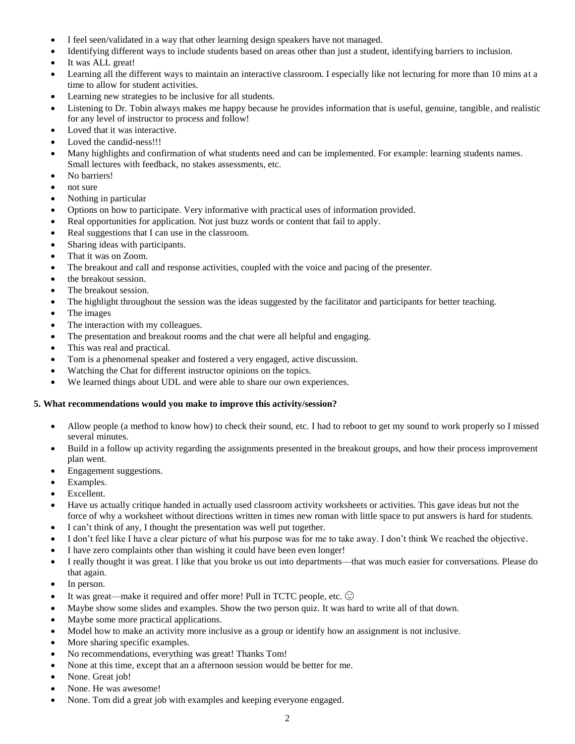- I feel seen/validated in a way that other learning design speakers have not managed.
- Identifying different ways to include students based on areas other than just a student, identifying barriers to inclusion.
- It was ALL great!
- Learning all the different ways to maintain an interactive classroom. I especially like not lecturing for more than 10 mins at a time to allow for student activities.
- Learning new strategies to be inclusive for all students.
- Listening to Dr. Tobin always makes me happy because he provides information that is useful, genuine, tangible, and realistic for any level of instructor to process and follow!
- Loved that it was interactive.
- Loved the candid-ness!!!
- Many highlights and confirmation of what students need and can be implemented. For example: learning students names. Small lectures with feedback, no stakes assessments, etc.
- No barriers!
- not sure
- Nothing in particular
- Options on how to participate. Very informative with practical uses of information provided.
- Real opportunities for application. Not just buzz words or content that fail to apply.
- Real suggestions that I can use in the classroom.
- Sharing ideas with participants.
- That it was on Zoom.
- The breakout and call and response activities, coupled with the voice and pacing of the presenter.
- the breakout session.
- The breakout session.
- The highlight throughout the session was the ideas suggested by the facilitator and participants for better teaching.
- The images
- The interaction with my colleagues.
- The presentation and breakout rooms and the chat were all helpful and engaging.
- This was real and practical.
- Tom is a phenomenal speaker and fostered a very engaged, active discussion.
- Watching the Chat for different instructor opinions on the topics.
- We learned things about UDL and were able to share our own experiences.

## **5. What recommendations would you make to improve this activity/session?**

- Allow people (a method to know how) to check their sound, etc. I had to reboot to get my sound to work properly so I missed several minutes.
- Build in a follow up activity regarding the assignments presented in the breakout groups, and how their process improvement plan went.
- Engagement suggestions.
- Examples.
- Excellent.
- Have us actually critique handed in actually used classroom activity worksheets or activities. This gave ideas but not the force of why a worksheet without directions written in times new roman with little space to put answers is hard for students.
- I can't think of any, I thought the presentation was well put together.
- I don't feel like I have a clear picture of what his purpose was for me to take away. I don't think We reached the objective.
- I have zero complaints other than wishing it could have been even longer!
- I really thought it was great. I like that you broke us out into departments—that was much easier for conversations. Please do that again.
- In person.
- It was great—make it required and offer more! Pull in TCTC people, etc.  $\odot$
- Maybe show some slides and examples. Show the two person quiz. It was hard to write all of that down.
- Maybe some more practical applications.
- Model how to make an activity more inclusive as a group or identify how an assignment is not inclusive.
- More sharing specific examples.
- No recommendations, everything was great! Thanks Tom!
- None at this time, except that an a afternoon session would be better for me.
- None. Great job!
- None. He was awesome!
- None. Tom did a great job with examples and keeping everyone engaged.